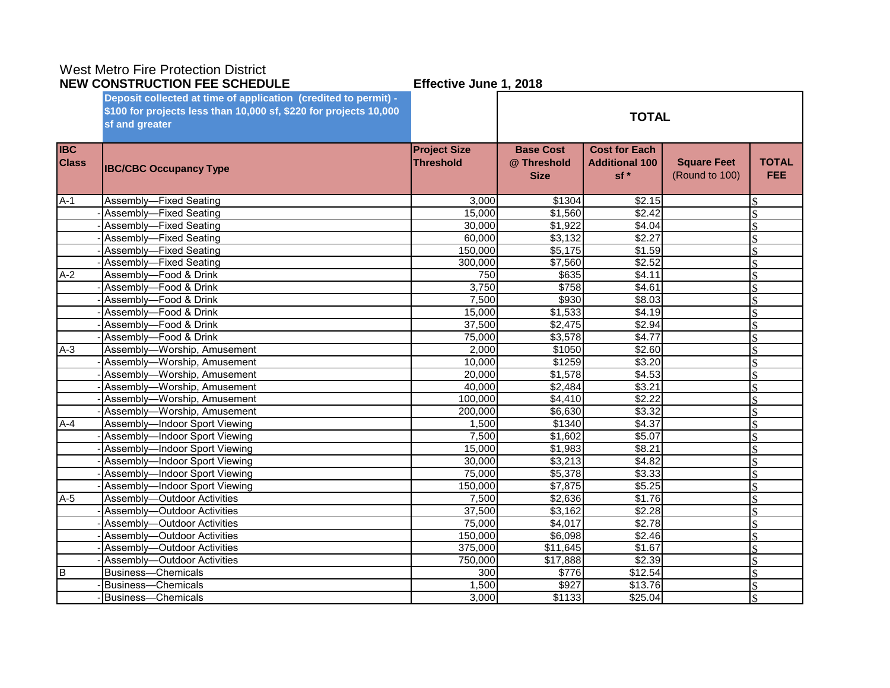# West Metro Fire Protection District

|                            | <b>NEW CONSTRUCTION FEE SCHEDULE</b><br>Effective June 1, 2018    |                                         |                                                |                                                        |                                      |                            |
|----------------------------|-------------------------------------------------------------------|-----------------------------------------|------------------------------------------------|--------------------------------------------------------|--------------------------------------|----------------------------|
|                            | Deposit collected at time of application (credited to permit) -   |                                         |                                                |                                                        |                                      |                            |
|                            | \$100 for projects less than 10,000 sf, \$220 for projects 10,000 |                                         |                                                | <b>TOTAL</b>                                           |                                      |                            |
|                            | sf and greater                                                    |                                         |                                                |                                                        |                                      |                            |
| <b>IBC</b><br><b>Class</b> | <b>IBC/CBC Occupancy Type</b>                                     | <b>Project Size</b><br><b>Threshold</b> | <b>Base Cost</b><br>@ Threshold<br><b>Size</b> | <b>Cost for Each</b><br><b>Additional 100</b><br>$sf*$ | <b>Square Feet</b><br>(Round to 100) | <b>TOTAL</b><br><b>FEE</b> |
| $A-1$                      | Assembly-Fixed Seating                                            | 3,000                                   | \$1304                                         | \$2.15                                                 |                                      |                            |
|                            | Assembly-Fixed Seating                                            | 15,000                                  | \$1,560                                        | \$2.42                                                 |                                      | <sup>\$</sup>              |
|                            | Assembly-Fixed Seating                                            | 30,000                                  | \$1,922                                        | \$4.04                                                 |                                      | \$                         |
|                            | Assembly-Fixed Seating                                            | 60,000                                  | \$3,132                                        | \$2.27                                                 |                                      | \$                         |
|                            | Assembly-Fixed Seating                                            | 150,000                                 | \$5,175                                        | \$1.59                                                 |                                      |                            |
|                            | Assembly-Fixed Seating                                            | 300,000                                 | \$7,560                                        | \$2.52                                                 |                                      |                            |
| $A-2$                      | Assembly-Food & Drink                                             | 750                                     | \$635                                          | \$4.11                                                 |                                      |                            |
|                            | Assembly-Food & Drink                                             | 3,750                                   | \$758                                          | \$4.61                                                 |                                      |                            |
|                            | Assembly-Food & Drink                                             | 7,500                                   | \$930                                          | \$8.03                                                 |                                      |                            |
|                            | Assembly-Food & Drink                                             | 15,000                                  | \$1,533                                        | \$4.19                                                 |                                      |                            |
|                            | Assembly-Food & Drink                                             | 37,500                                  | \$2,475                                        | \$2.94                                                 |                                      | $\mathcal{S}$              |
|                            | Assembly-Food & Drink                                             | 75,000                                  | \$3,578                                        | \$4.77                                                 |                                      |                            |
| $A-3$                      | Assembly-Worship, Amusement                                       | 2,000                                   | \$1050                                         | \$2.60                                                 |                                      |                            |
|                            | Assembly-Worship, Amusement                                       | 10,000                                  | \$1259                                         | \$3.20                                                 |                                      |                            |
|                            | Assembly-Worship, Amusement                                       | 20,000                                  | \$1,578                                        | \$4.53                                                 |                                      | \$                         |
|                            | Assembly-Worship, Amusement                                       | 40,000                                  | \$2,484                                        | \$3.21                                                 |                                      | \$                         |
|                            | Assembly-Worship, Amusement                                       | 100,000                                 | $\sqrt{4,410}$                                 | \$2.22                                                 |                                      | \$                         |
|                            | Assembly-Worship, Amusement                                       | 200,000                                 | \$6,630                                        | \$3.32                                                 |                                      | $\mathcal{S}$              |
| $A-4$                      | Assembly-Indoor Sport Viewing                                     | 1,500                                   | \$1340                                         | \$4.37                                                 |                                      | \$                         |
|                            | Assembly-Indoor Sport Viewing                                     | 7,500                                   | \$1,602                                        | \$5.07                                                 |                                      |                            |
|                            | Assembly-Indoor Sport Viewing                                     | 15,000                                  | \$1,983                                        | \$8.21                                                 |                                      |                            |
|                            | Assembly-Indoor Sport Viewing                                     | 30,000                                  | \$3,213                                        | \$4.82                                                 |                                      |                            |
|                            | Assembly-Indoor Sport Viewing                                     | 75,000                                  | \$5,378                                        | \$3.33                                                 |                                      |                            |
|                            | Assembly-Indoor Sport Viewing                                     | 150,000                                 | $\overline{$7,875}$                            | \$5.25                                                 |                                      |                            |
| $A-5$                      | Assembly-Outdoor Activities                                       | 7,500                                   | \$2,636                                        | \$1.76                                                 |                                      |                            |
|                            | Assembly-Outdoor Activities                                       | 37,500                                  | \$3,162                                        | \$2.28                                                 |                                      |                            |
|                            | Assembly-Outdoor Activities                                       | 75,000                                  | \$4,017                                        | \$2.78                                                 |                                      |                            |
|                            | Assembly-Outdoor Activities                                       | 150,000                                 | \$6,098                                        | \$2.46                                                 |                                      | \$                         |
|                            | Assembly-Outdoor Activities                                       | 375,000                                 | \$11,645                                       | \$1.67                                                 |                                      |                            |
|                            | Assembly-Outdoor Activities                                       | 750,000                                 | \$17,888                                       | \$2.39                                                 |                                      |                            |
| Iв                         | <b>Business-Chemicals</b>                                         | 300                                     | \$776                                          | \$12.54                                                |                                      |                            |
|                            | <b>Business-Chemicals</b>                                         | 1,500                                   | \$927                                          | \$13.76                                                |                                      | \$                         |
|                            | <b>Business-Chemicals</b>                                         | 3,000                                   | \$1133                                         | \$25.04                                                |                                      |                            |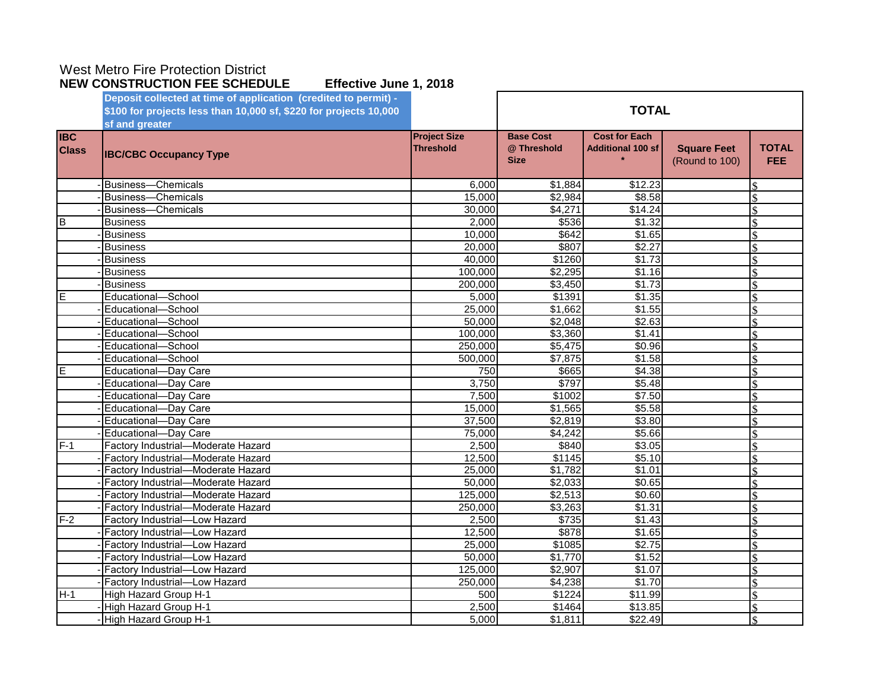## West Metro Fire Protection District

|                            | Deposit collected at time of application (credited to permit) -<br>\$100 for projects less than 10,000 sf, \$220 for projects 10,000 |                                         | <b>TOTAL</b>                                   |                                                  |                                      |                            |
|----------------------------|--------------------------------------------------------------------------------------------------------------------------------------|-----------------------------------------|------------------------------------------------|--------------------------------------------------|--------------------------------------|----------------------------|
|                            | sf and greater                                                                                                                       |                                         |                                                |                                                  |                                      |                            |
| <b>IBC</b><br><b>Class</b> | <b>IBC/CBC Occupancy Type</b>                                                                                                        | <b>Project Size</b><br><b>Threshold</b> | <b>Base Cost</b><br>@ Threshold<br><b>Size</b> | <b>Cost for Each</b><br><b>Additional 100 sf</b> | <b>Square Feet</b><br>(Round to 100) | <b>TOTAL</b><br><b>FEE</b> |
|                            | <b>Business-Chemicals</b>                                                                                                            | 6.000                                   | \$1,884                                        | \$12.23                                          |                                      |                            |
|                            | <b>Business-Chemicals</b>                                                                                                            | 15,000                                  | \$2,984                                        | \$8.58                                           |                                      |                            |
|                            | Business-Chemicals                                                                                                                   | 30,000                                  | \$4,271                                        | \$14.24                                          |                                      |                            |
| B                          | <b>Business</b>                                                                                                                      | 2,000                                   | \$536                                          | \$1.32                                           |                                      |                            |
|                            | <b>Business</b>                                                                                                                      | 10,000                                  | \$642                                          | \$1.65                                           |                                      | \$                         |
|                            | <b>Business</b>                                                                                                                      | 20,000                                  | \$807                                          | \$2.27                                           |                                      |                            |
|                            | <b>Business</b>                                                                                                                      | 40,000                                  | \$1260                                         | \$1.73                                           |                                      | \$                         |
|                            | <b>Business</b>                                                                                                                      | 100,000                                 | \$2,295                                        | \$1.16                                           |                                      | \$                         |
|                            | <b>Business</b>                                                                                                                      | 200,000                                 | \$3,450                                        | \$1.73                                           |                                      | \$                         |
| E                          | Educational-School                                                                                                                   | 5,000                                   | \$1391                                         | \$1.35                                           |                                      |                            |
|                            | Educational-School                                                                                                                   | 25,000                                  | \$1,662                                        | \$1.55                                           |                                      |                            |
|                            | Educational-School                                                                                                                   | 50,000                                  | \$2,048                                        | \$2.63                                           |                                      | ¢                          |
|                            | Educational-School                                                                                                                   | 100,000                                 | \$3,360                                        | \$1.41                                           |                                      | \$                         |
|                            | Educational-School                                                                                                                   | 250,000                                 | \$5,475                                        | \$0.96                                           |                                      | \$                         |
|                            | Educational-School                                                                                                                   | 500,000                                 | \$7,875                                        | \$1.58                                           |                                      |                            |
| E                          | Educational-Day Care                                                                                                                 | 750                                     | \$665                                          | \$4.38                                           |                                      | \$                         |
|                            | Educational-Day Care                                                                                                                 | 3,750                                   | \$797                                          | \$5.48                                           |                                      |                            |
|                            | Educational-Day Care                                                                                                                 | 7,500                                   | \$1002                                         | \$7.50                                           |                                      | \$                         |
|                            | Educational-Day Care                                                                                                                 | 15,000                                  | \$1,565                                        | \$5.58                                           |                                      |                            |
|                            | Educational-Day Care                                                                                                                 | 37,500                                  | \$2,819                                        | \$3.80                                           |                                      | \$                         |
|                            | Educational-Day Care                                                                                                                 | 75,000                                  | \$4,242                                        | \$5.66                                           |                                      |                            |
| $F-1$                      | Factory Industrial-Moderate Hazard                                                                                                   | 2,500                                   | \$840                                          | \$3.05                                           |                                      | $\mathbf{\hat{S}}$         |
|                            | Factory Industrial-Moderate Hazard                                                                                                   | 12,500                                  | \$1145                                         | \$5.10                                           |                                      | $\mathcal{S}$              |
|                            | Factory Industrial-Moderate Hazard                                                                                                   | 25,000                                  | \$1,782                                        | \$1.01                                           |                                      | \$                         |
|                            | Factory Industrial-Moderate Hazard                                                                                                   | 50,000                                  | \$2,033                                        | \$0.65                                           |                                      | \$                         |
|                            | Factory Industrial-Moderate Hazard                                                                                                   | 125,000                                 | \$2,513                                        | \$0.60                                           |                                      | \$                         |
|                            | Factory Industrial-Moderate Hazard                                                                                                   | 250,000                                 | \$3,263                                        | \$1.31                                           |                                      | \$                         |
| $F-2$                      | Factory Industrial-Low Hazard                                                                                                        | 2,500                                   | \$735                                          | $\overline{$}1.43$                               |                                      | \$                         |
|                            | Factory Industrial-Low Hazard                                                                                                        | 12,500                                  | \$878                                          | \$1.65                                           |                                      |                            |
|                            | Factory Industrial-Low Hazard                                                                                                        | 25,000                                  | 31085                                          | $\sqrt{$2.75}$                                   |                                      |                            |
|                            | Factory Industrial-Low Hazard                                                                                                        | 50,000                                  | \$1,770                                        | \$1.52                                           |                                      | \$                         |
|                            | Factory Industrial-Low Hazard                                                                                                        | 125,000                                 | \$2,907                                        | \$1.07                                           |                                      |                            |
|                            | Factory Industrial-Low Hazard                                                                                                        | 250,000                                 | \$4,238                                        | \$1.70                                           |                                      | \$                         |
| $H-1$                      | <b>High Hazard Group H-1</b>                                                                                                         | 500                                     | \$1224                                         | \$11.99                                          |                                      |                            |
|                            | High Hazard Group H-1                                                                                                                | 2,500                                   | \$1464                                         | \$13.85                                          |                                      | $\mathbf{\hat{S}}$         |
|                            | <b>High Hazard Group H-1</b>                                                                                                         | 5,000                                   | \$1,811                                        | \$22.49                                          |                                      |                            |

#### **NEW CONSTRUCTION FEE SCHEDULE Effective June 1, 2018**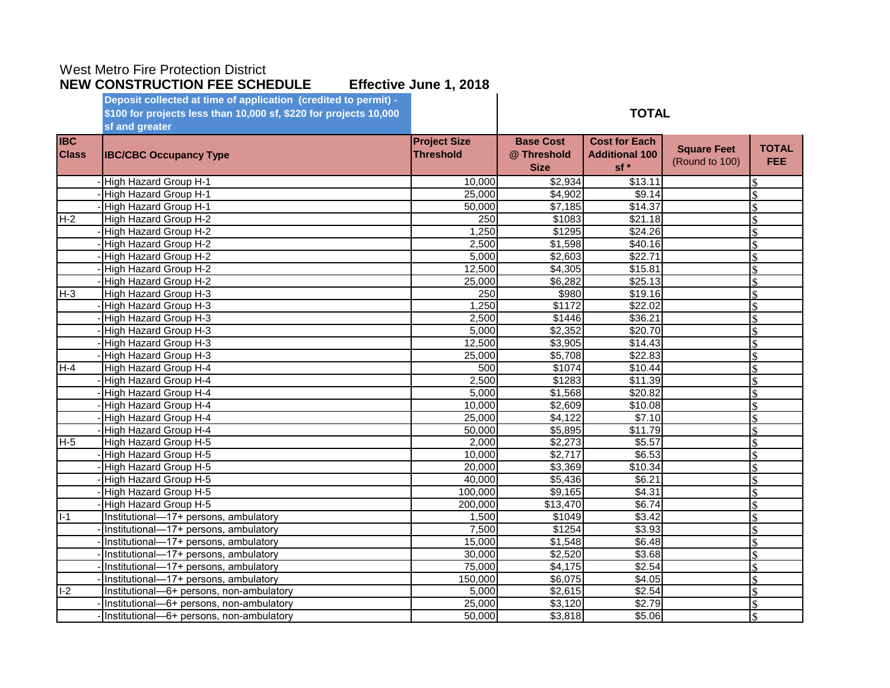|              | Deposit collected at time of application (credited to permit) -   |                     |                    |                       |                    |                    |
|--------------|-------------------------------------------------------------------|---------------------|--------------------|-----------------------|--------------------|--------------------|
|              | \$100 for projects less than 10,000 sf, \$220 for projects 10,000 |                     |                    | <b>TOTAL</b>          |                    |                    |
|              | sf and greater                                                    |                     |                    |                       |                    |                    |
| <b>IBC</b>   |                                                                   | <b>Project Size</b> | <b>Base Cost</b>   | <b>Cost for Each</b>  |                    |                    |
| <b>Class</b> | <b>IBC/CBC Occupancy Type</b>                                     | <b>Threshold</b>    | @ Threshold        | <b>Additional 100</b> | <b>Square Feet</b> | <b>TOTAL</b>       |
|              |                                                                   |                     | <b>Size</b>        | sf*                   | (Round to 100)     | <b>FEE</b>         |
|              | High Hazard Group H-1                                             | 10,000              | \$2,934            | \$13.11               |                    | \$.                |
|              | High Hazard Group H-1                                             | 25,000              | \$4,902            | \$9.14                |                    | \$                 |
|              | High Hazard Group H-1                                             | 50,000              | \$7,185            | \$14.37               |                    | \$                 |
| $H-2$        | <b>High Hazard Group H-2</b>                                      | 250                 | \$1083             | \$21.18               |                    | ¢                  |
|              | High Hazard Group H-2                                             | 1,250               | \$1295             | \$24.26               |                    | $\mathbf{\hat{S}}$ |
|              | High Hazard Group H-2                                             | 2,500               | \$1,598            | $\sqrt{$40.16}$       |                    | ¢                  |
|              | <b>High Hazard Group H-2</b>                                      | 5,000               | \$2,603            | \$22.71               |                    | \$                 |
|              | <b>High Hazard Group H-2</b>                                      | 12,500              | $\overline{4,305}$ | \$15.81               |                    | $\mathbf{\hat{S}}$ |
|              | High Hazard Group H-2                                             | 25,000              | \$6,282            | \$25.13               |                    | \$                 |
| $H - 3$      | High Hazard Group H-3                                             | 250                 | \$980              | \$19.16               |                    | \$                 |
|              | High Hazard Group H-3                                             | 1,250               | \$1172             | \$22.02               |                    | \$                 |
|              | High Hazard Group H-3                                             | 2,500               | 31446              | \$36.21               |                    | \$                 |
|              | High Hazard Group H-3                                             | 5,000               | \$2,352            | \$20.70               |                    | \$                 |
|              | High Hazard Group H-3                                             | 12,500              | \$3,905            | $\overline{$}14.43$   |                    | \$                 |
|              | High Hazard Group H-3                                             | 25,000              | \$5,708            | \$22.83               |                    | \$                 |
| $H-4$        | High Hazard Group H-4                                             | 500                 | \$1074             | \$10.44               |                    | $\mathcal{S}$      |
|              | High Hazard Group H-4                                             | 2,500               | \$1283             | \$11.39               |                    | $\mathbf{\hat{S}}$ |
|              | High Hazard Group H-4                                             | 5,000               | \$1,568            | \$20.82               |                    | $\mathbf{\hat{S}}$ |
|              | High Hazard Group H-4                                             | 10,000              | \$2,609            | \$10.08               |                    | \$                 |
|              | High Hazard Group H-4                                             | 25,000              | \$4,122            | \$7.10                |                    | $\mathbf{\hat{S}}$ |
|              | High Hazard Group H-4                                             | 50,000              | \$5,895            | \$11.79               |                    | \$                 |
| $H-5$        | High Hazard Group H-5                                             | 2,000               | \$2,273            | \$5.57                |                    | \$                 |
|              | High Hazard Group H-5                                             | 10,000              | \$2,717            | \$6.53                |                    | \$                 |
|              | High Hazard Group H-5                                             | 20,000              | \$3,369            | \$10.34               |                    | ¢                  |
|              | High Hazard Group H-5                                             | 40,000              | \$5,436            | \$6.21                |                    | \$                 |
|              | High Hazard Group H-5                                             | 100,000             | \$9,165            | \$4.31                |                    | \$                 |
|              | <b>High Hazard Group H-5</b>                                      | 200,000             | \$13,470           | \$6.74                |                    | \$                 |
| $I-1$        | Institutional-17+ persons, ambulatory                             | 1,500               | \$1049             | \$3.42                |                    | \$                 |
|              | Institutional-17+ persons, ambulatory                             | 7,500               | \$1254             | \$3.93                |                    | \$                 |
|              | Institutional-17+ persons, ambulatory                             | 15,000              | \$1,548            | \$6.48                |                    | \$                 |
|              | Institutional-17+ persons, ambulatory                             | 30,000              | \$2,520            | \$3.68                |                    | \$                 |
|              | Institutional-17+ persons, ambulatory                             | 75,000              | \$4,175            | \$2.54                |                    | \$                 |
|              | Institutional-17+ persons, ambulatory                             | 150,000             | \$6,075            | \$4.05                |                    | $\mathcal{S}$      |
| $I-2$        | Institutional-6+ persons, non-ambulatory                          | 5,000               | \$2,615            | \$2.54                |                    | \$                 |
|              | Institutional-6+ persons, non-ambulatory                          | 25,000              | \$3,120            | \$2.79                |                    | $\mathcal{S}$      |
|              | Institutional-6+ persons, non-ambulatory                          | 50,000              | \$3,818            | \$5.06                |                    | \$                 |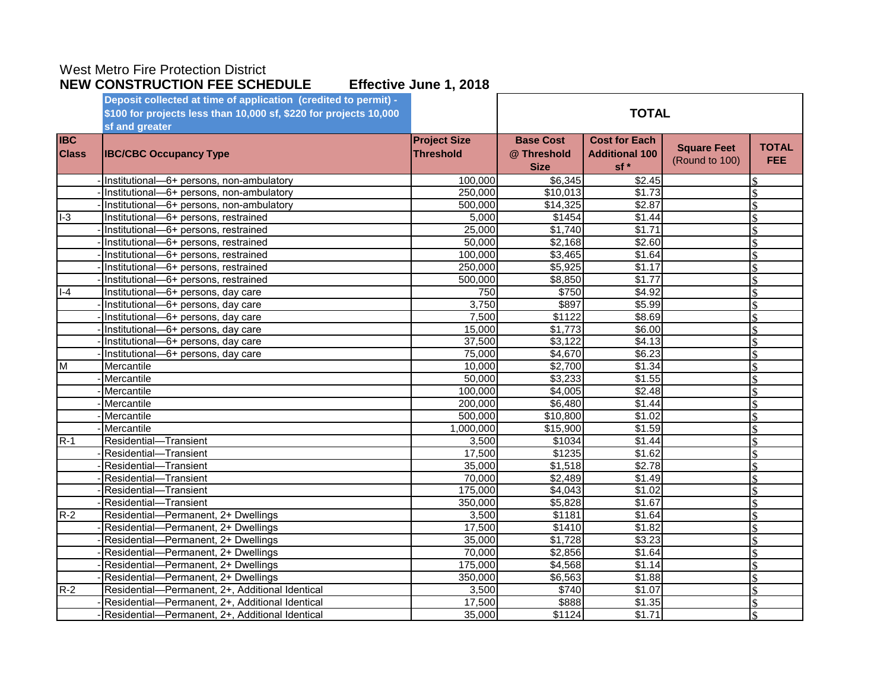|              | Deposit collected at time of application (credited to permit) -   |                     |                  |                       |                    |                    |
|--------------|-------------------------------------------------------------------|---------------------|------------------|-----------------------|--------------------|--------------------|
|              | \$100 for projects less than 10,000 sf, \$220 for projects 10,000 |                     |                  | <b>TOTAL</b>          |                    |                    |
|              | sf and greater                                                    |                     |                  |                       |                    |                    |
| <b>IBC</b>   |                                                                   | <b>Project Size</b> | <b>Base Cost</b> | <b>Cost for Each</b>  |                    |                    |
| <b>Class</b> | <b>IBC/CBC Occupancy Type</b>                                     | <b>Threshold</b>    | @ Threshold      | <b>Additional 100</b> | <b>Square Feet</b> | <b>TOTAL</b>       |
|              |                                                                   |                     | <b>Size</b>      | sf *                  | (Round to 100)     | <b>FEE</b>         |
|              | Institutional-6+ persons, non-ambulatory                          | 100,000             | \$6,345          | \$2.45                |                    |                    |
|              | Institutional-6+ persons, non-ambulatory                          | 250,000             | \$10,013         | \$1.73                |                    | <sup>\$</sup>      |
|              | Institutional-6+ persons, non-ambulatory                          | 500,000             | \$14,325         | \$2.87                |                    | \$                 |
| $I-3$        | Institutional-6+ persons, restrained                              | 5,000               | \$1454           | \$1.44                |                    |                    |
|              | Institutional-6+ persons, restrained                              | 25,000              | \$1,740          | \$1.71                |                    | \$                 |
|              | Institutional-6+ persons, restrained                              | 50,000              | \$2,168          | \$2.60                |                    | $\mathcal{S}$      |
|              | Institutional-6+ persons, restrained                              | 100,000             | \$3,465          | \$1.64                |                    |                    |
|              | Institutional-6+ persons, restrained                              | 250,000             | \$5,925          | \$1.17                |                    |                    |
|              | Institutional-6+ persons, restrained                              | 500,000             | \$8,850          | \$1.77                |                    |                    |
| $I - 4$      | Institutional-6+ persons, day care                                | 750                 | \$750            | \$4.92                |                    |                    |
|              | Institutional-6+ persons, day care                                | 3,750               | \$897            | \$5.99                |                    |                    |
|              | Institutional-6+ persons, day care                                | 7,500               | \$1122           | \$8.69                |                    |                    |
|              | Institutional-6+ persons, day care                                | 15,000              | \$1,773          | \$6.00                |                    |                    |
|              | Institutional-6+ persons, day care                                | 37,500              | \$3,122          | \$4.13                |                    |                    |
|              | Institutional-6+ persons, day care                                | 75,000              | \$4,670          | \$6.23                |                    |                    |
| M            | Mercantile                                                        | 10,000              | \$2,700          | \$1.34                |                    |                    |
|              | Mercantile                                                        | 50,000              | \$3,233          | 31.55                 |                    |                    |
|              | Mercantile                                                        | 100,000             | \$4,005          | \$2.48                |                    | \$                 |
|              | Mercantile                                                        | 200,000             | $\sqrt{$6,480}$  | \$1.44                |                    |                    |
|              | Mercantile                                                        | 500,000             | \$10,800         | \$1.02                |                    |                    |
|              | Mercantile                                                        | 1.000.000           | \$15,900         | \$1.59                |                    |                    |
| $R-1$        | Residential-Transient                                             | 3,500               | \$1034           | \$1.44                |                    |                    |
|              | Residential-Transient                                             | 17,500              | \$1235           | \$1.62                |                    | $\mathcal{S}$      |
|              | Residential-Transient                                             | 35,000              | \$1,518          | \$2.78                |                    |                    |
|              | Residential-Transient                                             | 70,000              | $\sqrt{$2,489}$  | \$1.49                |                    |                    |
|              | Residential-Transient                                             | 175,000             | \$4,043          | \$1.02                |                    |                    |
|              | Residential-Transient                                             | 350,000             | \$5,828          | \$1.67                |                    | \$                 |
| $R-2$        | Residential-Permanent, 2+ Dwellings                               | 3,500               | \$1181           | \$1.64                |                    |                    |
|              | Residential-Permanent, 2+ Dwellings                               | 17,500              | \$1410           | \$1.82                |                    |                    |
|              | Residential-Permanent, 2+ Dwellings                               | 35,000              | \$1,728          | \$3.23                |                    | \$                 |
|              | Residential-Permanent, 2+ Dwellings                               | 70,000              | $\sqrt{$2,856}$  | \$1.64                |                    | \$                 |
|              | Residential-Permanent, 2+ Dwellings                               | 175,000             | \$4,568          | \$1.14                |                    | \$                 |
|              | Residential-Permanent, 2+ Dwellings                               | 350,000             | \$6,563          | \$1.88                |                    | $\mathbf{\hat{S}}$ |
| $R-2$        | Residential-Permanent, 2+, Additional Identical                   | 3,500               | \$740            | \$1.07                |                    | \$                 |
|              | Residential-Permanent, 2+, Additional Identical                   | 17,500              | \$888            | \$1.35                |                    | $\mathcal{S}$      |
|              | Residential-Permanent, 2+, Additional Identical                   | 35,000              | \$1124           | \$1.71                |                    | \$                 |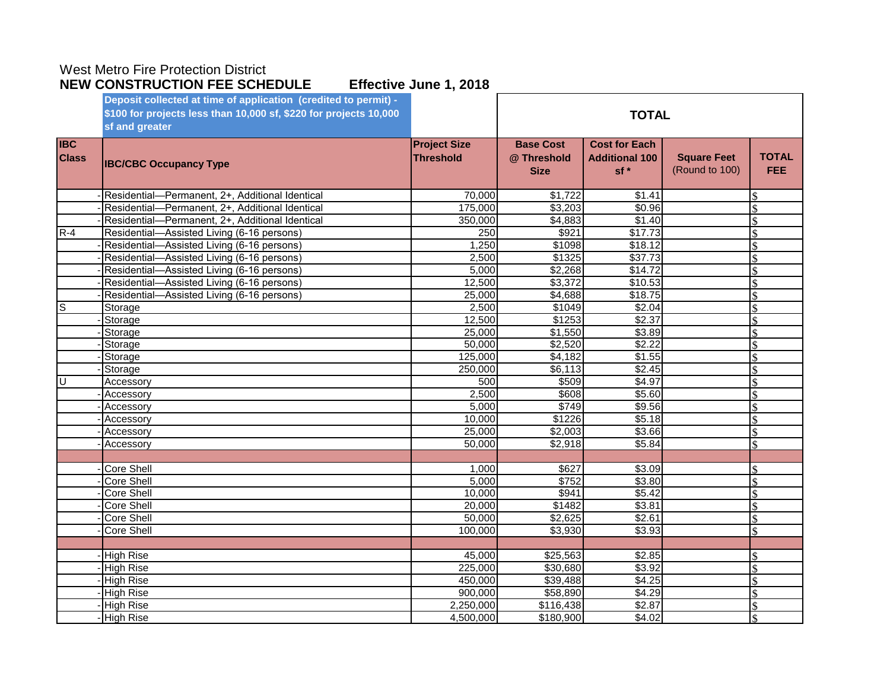|                            | Deposit collected at time of application (credited to permit) -<br>\$100 for projects less than 10,000 sf, \$220 for projects 10,000<br>sf and greater |                                         | <b>TOTAL</b>                                   |                                                        |                                      |                            |
|----------------------------|--------------------------------------------------------------------------------------------------------------------------------------------------------|-----------------------------------------|------------------------------------------------|--------------------------------------------------------|--------------------------------------|----------------------------|
| <b>IBC</b><br><b>Class</b> | <b>IBC/CBC Occupancy Type</b>                                                                                                                          | <b>Project Size</b><br><b>Threshold</b> | <b>Base Cost</b><br>@ Threshold<br><b>Size</b> | <b>Cost for Each</b><br><b>Additional 100</b><br>$sf*$ | <b>Square Feet</b><br>(Round to 100) | <b>TOTAL</b><br><b>FEE</b> |
|                            | Residential-Permanent, 2+, Additional Identical                                                                                                        | 70,000                                  | \$1,722                                        | \$1.41                                                 |                                      |                            |
|                            | Residential-Permanent, 2+, Additional Identical                                                                                                        | 175,000                                 | \$3,203                                        | \$0.96                                                 |                                      | \$                         |
|                            | Residential-Permanent, 2+, Additional Identical                                                                                                        | 350,000                                 | \$4,883                                        | \$1.40                                                 |                                      | ፍ                          |
| $R-4$                      | Residential-Assisted Living (6-16 persons)                                                                                                             | $\overline{250}$                        | \$921                                          | \$17.73                                                |                                      |                            |
|                            | Residential-Assisted Living (6-16 persons)                                                                                                             | 1,250                                   | \$1098                                         | \$18.12                                                |                                      | ¢                          |
|                            | Residential-Assisted Living (6-16 persons)                                                                                                             | 2,500                                   | \$1325                                         | \$37.73                                                |                                      | \$                         |
|                            | Residential-Assisted Living (6-16 persons)                                                                                                             | 5,000                                   | \$2,268                                        | \$14.72                                                |                                      | $\mathcal{S}$              |
|                            | Residential-Assisted Living (6-16 persons)                                                                                                             | 12,500                                  | \$3,372                                        | \$10.53                                                |                                      | \$                         |
|                            | Residential-Assisted Living (6-16 persons)                                                                                                             | 25,000                                  | \$4,688                                        | \$18.75                                                |                                      | $\mathcal{S}$              |
| Ω                          | Storage                                                                                                                                                | 2,500                                   | \$1049                                         | \$2.04                                                 |                                      | $\mathcal{S}$              |
|                            | Storage                                                                                                                                                | 12,500                                  | \$1253                                         | \$2.37                                                 |                                      | \$                         |
|                            | Storage                                                                                                                                                | 25,000                                  | \$1,550                                        | \$3.89                                                 |                                      | \$                         |
|                            | Storage                                                                                                                                                | 50,000                                  | \$2,520                                        | \$2.22                                                 |                                      |                            |
|                            | Storage                                                                                                                                                | 125,000                                 | \$4,182                                        | \$1.55                                                 |                                      |                            |
|                            | Storage                                                                                                                                                | 250,000                                 | \$6,113                                        | \$2.45                                                 |                                      | \$                         |
| ΙU                         | Accessory                                                                                                                                              | 500                                     | \$509                                          | \$4.97                                                 |                                      |                            |
|                            | Accessory                                                                                                                                              | 2,500                                   | \$608                                          | \$5.60                                                 |                                      |                            |
|                            | Accessory                                                                                                                                              | 5,000                                   | \$749                                          | \$9.56                                                 |                                      | ¢                          |
|                            | Accessory                                                                                                                                              | 10,000                                  | \$1226                                         | \$5.18                                                 |                                      | $\mathcal{S}$              |
|                            | Accessory                                                                                                                                              | 25,000                                  | \$2,003                                        | \$3.66                                                 |                                      | $\mathcal{S}$              |
|                            | Accessory                                                                                                                                              | 50,000                                  | \$2,918                                        | \$5.84                                                 |                                      | $\mathbf{\hat{S}}$         |
|                            |                                                                                                                                                        |                                         |                                                |                                                        |                                      |                            |
|                            | <b>Core Shell</b>                                                                                                                                      | 1,000                                   | \$627                                          | \$3.09                                                 |                                      |                            |
|                            | <b>Core Shell</b>                                                                                                                                      | 5,000                                   | \$752                                          | \$3.80                                                 |                                      |                            |
|                            | <b>Core Shell</b>                                                                                                                                      | 10,000                                  | \$941                                          | \$5.42                                                 |                                      |                            |
|                            | <b>Core Shell</b>                                                                                                                                      | 20,000                                  | \$1482                                         | \$3.81                                                 |                                      |                            |
|                            | Core Shell                                                                                                                                             | 50,000                                  | $\sqrt{$2,625}$                                | \$2.61                                                 |                                      |                            |
|                            | Core Shell                                                                                                                                             | 100,000                                 | \$3,930                                        | \$3.93                                                 |                                      | $\mathcal{S}$              |
|                            |                                                                                                                                                        |                                         |                                                |                                                        |                                      |                            |
|                            | <b>High Rise</b>                                                                                                                                       | 45,000                                  | \$25,563                                       | \$2.85                                                 |                                      |                            |
|                            | <b>High Rise</b>                                                                                                                                       | 225,000                                 | \$30,680                                       | \$3.92                                                 |                                      | $\mathcal{S}$              |
|                            | <b>High Rise</b>                                                                                                                                       | 450,000                                 | 339,488                                        | \$4.25                                                 |                                      | ¢                          |
|                            | <b>High Rise</b>                                                                                                                                       | 900,000                                 | \$58,890                                       | \$4.29                                                 |                                      |                            |
|                            | <b>High Rise</b>                                                                                                                                       | 2,250,000                               | \$116,438                                      | \$2.87                                                 |                                      | \$                         |
|                            | <b>High Rise</b>                                                                                                                                       | 4,500,000                               | \$180,900                                      | \$4.02                                                 |                                      |                            |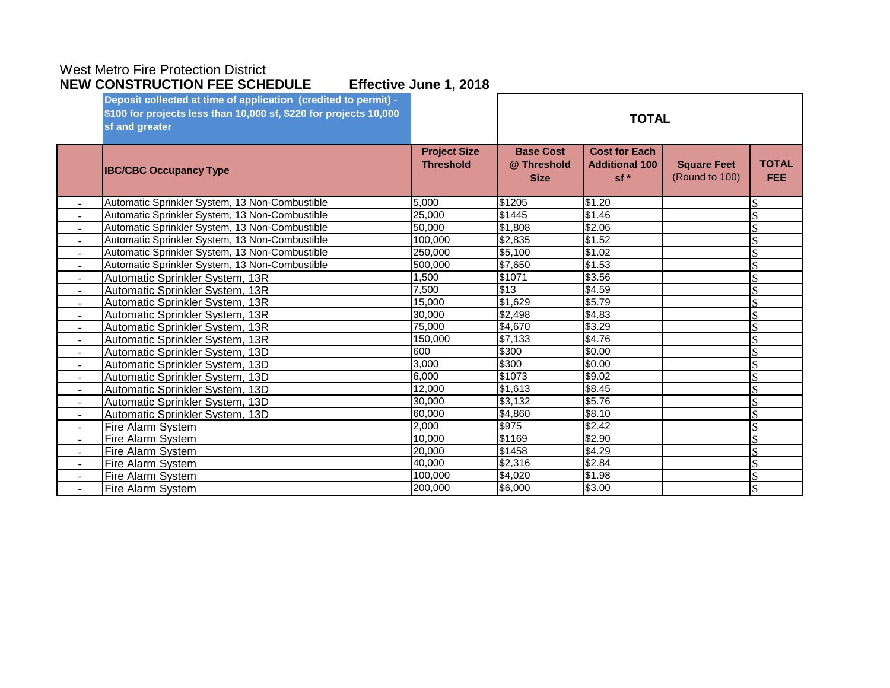|                          | Deposit collected at time of application (credited to permit) -<br>\$100 for projects less than 10,000 sf, \$220 for projects 10,000<br>sf and greater |                                         | <b>TOTAL</b>                                   |                                                        |                                      |                            |
|--------------------------|--------------------------------------------------------------------------------------------------------------------------------------------------------|-----------------------------------------|------------------------------------------------|--------------------------------------------------------|--------------------------------------|----------------------------|
|                          | <b>IBC/CBC Occupancy Type</b>                                                                                                                          | <b>Project Size</b><br><b>Threshold</b> | <b>Base Cost</b><br>@ Threshold<br><b>Size</b> | <b>Cost for Each</b><br><b>Additional 100</b><br>$sf*$ | <b>Square Feet</b><br>(Round to 100) | <b>TOTAL</b><br><b>FEE</b> |
|                          | Automatic Sprinkler System, 13 Non-Combustible                                                                                                         | 5.000                                   | \$1205                                         | \$1.20                                                 |                                      |                            |
|                          | Automatic Sprinkler System, 13 Non-Combustible                                                                                                         | 25,000                                  | \$1445                                         | $\sqrt{$1.46}$                                         |                                      |                            |
| $\overline{\phantom{a}}$ | Automatic Sprinkler System, 13 Non-Combustible                                                                                                         | 50,000                                  | \$1,808                                        | \$2.06                                                 |                                      | $\mathbb{S}$               |
|                          | Automatic Sprinkler System, 13 Non-Combustible                                                                                                         | 100.000                                 | \$2,835                                        | \$1.52                                                 |                                      |                            |
|                          | Automatic Sprinkler System, 13 Non-Combustible                                                                                                         | 250,000                                 | \$5,100                                        | \$1.02                                                 |                                      |                            |
|                          | Automatic Sprinkler System, 13 Non-Combustible                                                                                                         | 500,000                                 | \$7,650                                        | \$1.53                                                 |                                      |                            |
| $\sim$                   | Automatic Sprinkler System, 13R                                                                                                                        | 1.500                                   | \$1071                                         | \$3.56                                                 |                                      |                            |
|                          | Automatic Sprinkler System, 13R                                                                                                                        | 7,500                                   | \$13                                           | \$4.59                                                 |                                      |                            |
|                          | Automatic Sprinkler System, 13R                                                                                                                        | 15,000                                  | \$1,629                                        | \$5.79                                                 |                                      |                            |
| $\sim$                   | Automatic Sprinkler System, 13R                                                                                                                        | 30.000                                  | \$2,498                                        | \$4.83                                                 |                                      |                            |
|                          | Automatic Sprinkler System, 13R                                                                                                                        | 75,000                                  | \$4,670                                        | \$3.29                                                 |                                      |                            |
|                          | Automatic Sprinkler System, 13R                                                                                                                        | 150.000                                 | \$7,133                                        | \$4.76                                                 |                                      |                            |
| $\overline{\phantom{a}}$ | Automatic Sprinkler System, 13D                                                                                                                        | 600                                     | \$300                                          | \$0.00                                                 |                                      | \$                         |
| $\sim$                   | Automatic Sprinkler System, 13D                                                                                                                        | 3,000                                   | \$300                                          | \$0.00                                                 |                                      | $\mathbf{\hat{S}}$         |
| $\overline{\phantom{a}}$ | Automatic Sprinkler System, 13D                                                                                                                        | 6,000                                   | \$1073                                         | \$9.02                                                 |                                      |                            |
|                          | Automatic Sprinkler System, 13D                                                                                                                        | 12,000                                  | \$1,613                                        | \$8.45                                                 |                                      |                            |
| $\sim$                   | Automatic Sprinkler System, 13D                                                                                                                        | 30.000                                  | \$3,132                                        | \$5.76                                                 |                                      |                            |
|                          | Automatic Sprinkler System, 13D                                                                                                                        | 60,000                                  | \$4,860                                        | \$8.10                                                 |                                      |                            |
|                          | Fire Alarm System                                                                                                                                      | 2,000                                   | \$975                                          | \$2.42                                                 |                                      |                            |
| $\sim$                   | Fire Alarm System                                                                                                                                      | 10.000                                  | \$1169                                         | \$2.90                                                 |                                      |                            |
|                          | <b>Fire Alarm System</b>                                                                                                                               | 20,000                                  | \$1458                                         | \$4.29                                                 |                                      |                            |
|                          | <b>Fire Alarm System</b>                                                                                                                               | 40,000                                  | \$2,316                                        | \$2.84                                                 |                                      |                            |
|                          | <b>Fire Alarm System</b>                                                                                                                               | 100,000                                 | \$4,020                                        | \$1.98                                                 |                                      |                            |
|                          | Fire Alarm System                                                                                                                                      | 200,000                                 | \$6,000                                        | \$3.00                                                 |                                      | \$                         |